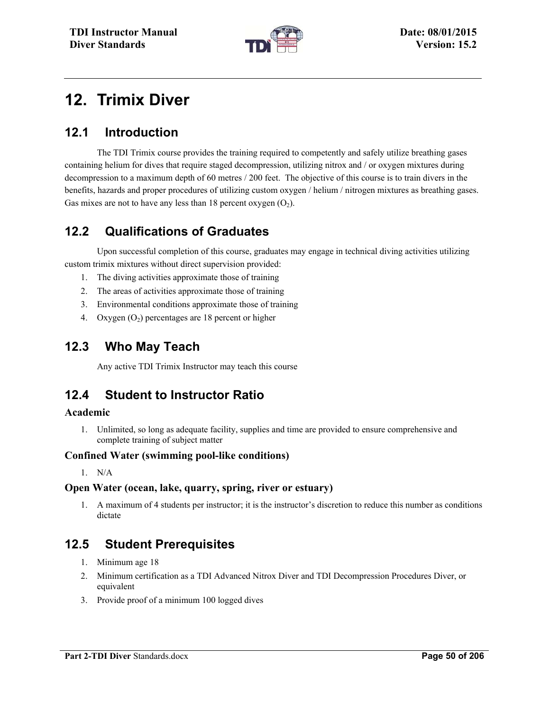

# **12. Trimix Diver**

# **12.1 Introduction**

The TDI Trimix course provides the training required to competently and safely utilize breathing gases containing helium for dives that require staged decompression, utilizing nitrox and / or oxygen mixtures during decompression to a maximum depth of 60 metres / 200 feet. The objective of this course is to train divers in the benefits, hazards and proper procedures of utilizing custom oxygen / helium / nitrogen mixtures as breathing gases. Gas mixes are not to have any less than 18 percent oxygen  $(O_2)$ .

# **12.2 Qualifications of Graduates**

Upon successful completion of this course, graduates may engage in technical diving activities utilizing custom trimix mixtures without direct supervision provided:

- 1. The diving activities approximate those of training
- 2. The areas of activities approximate those of training
- 3. Environmental conditions approximate those of training
- 4. Oxygen  $(O_2)$  percentages are 18 percent or higher

## **12.3 Who May Teach**

Any active TDI Trimix Instructor may teach this course

# **12.4 Student to Instructor Ratio**

### **Academic**

1. Unlimited, so long as adequate facility, supplies and time are provided to ensure comprehensive and complete training of subject matter

### **Confined Water (swimming pool-like conditions)**

1. N/A

### **Open Water (ocean, lake, quarry, spring, river or estuary)**

1. A maximum of 4 students per instructor; it is the instructor's discretion to reduce this number as conditions dictate

# **12.5 Student Prerequisites**

- 1. Minimum age 18
- 2. Minimum certification as a TDI Advanced Nitrox Diver and TDI Decompression Procedures Diver, or equivalent
- 3. Provide proof of a minimum 100 logged dives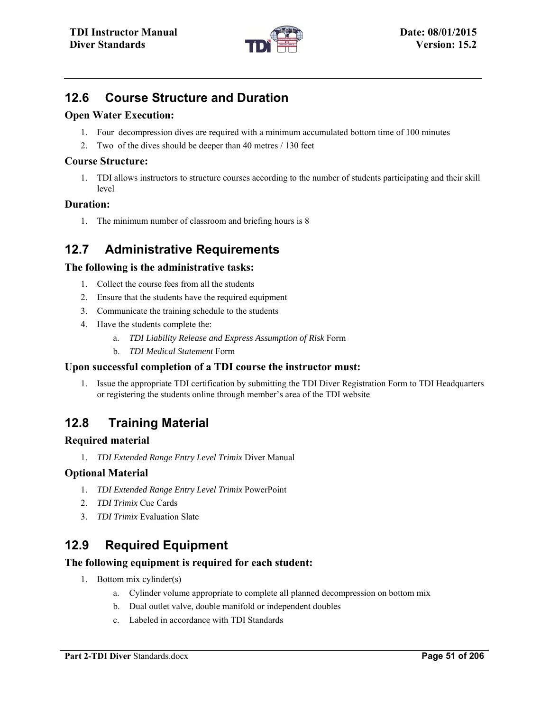

# **12.6 Course Structure and Duration**

### **Open Water Execution:**

- 1. Four decompression dives are required with a minimum accumulated bottom time of 100 minutes
- 2. Two of the dives should be deeper than 40 metres / 130 feet

### **Course Structure:**

1. TDI allows instructors to structure courses according to the number of students participating and their skill level

### **Duration:**

1. The minimum number of classroom and briefing hours is 8

# **12.7 Administrative Requirements**

### **The following is the administrative tasks:**

- 1. Collect the course fees from all the students
- 2. Ensure that the students have the required equipment
- 3. Communicate the training schedule to the students
- 4. Have the students complete the:
	- a. *TDI Liability Release and Express Assumption of Risk* Form
	- b. *TDI Medical Statement* Form

### **Upon successful completion of a TDI course the instructor must:**

1. Issue the appropriate TDI certification by submitting the TDI Diver Registration Form to TDI Headquarters or registering the students online through member's area of the TDI website

# **12.8 Training Material**

### **Required material**

1. *TDI Extended Range Entry Level Trimix* Diver Manual

### **Optional Material**

- 1. *TDI Extended Range Entry Level Trimix* PowerPoint
- 2. *TDI Trimix* Cue Cards
- 3. *TDI Trimix* Evaluation Slate

# **12.9 Required Equipment**

### **The following equipment is required for each student:**

- 1. Bottom mix cylinder(s)
	- a. Cylinder volume appropriate to complete all planned decompression on bottom mix
	- b. Dual outlet valve, double manifold or independent doubles
	- c. Labeled in accordance with TDI Standards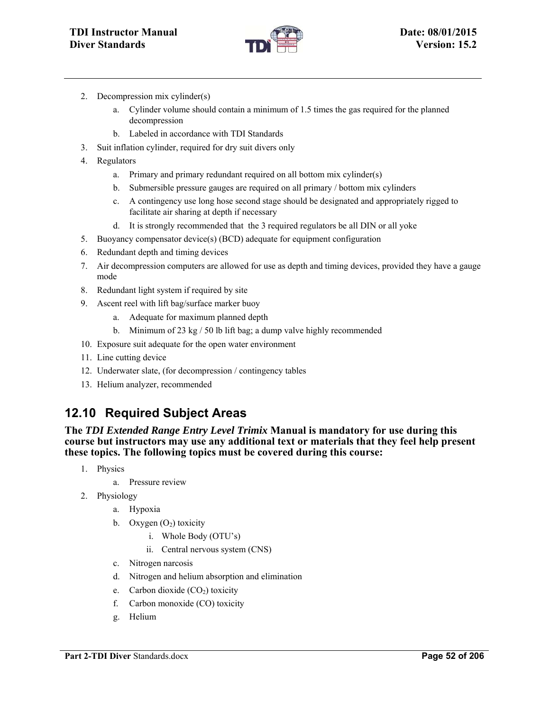

- 2. Decompression mix cylinder(s)
	- a. Cylinder volume should contain a minimum of 1.5 times the gas required for the planned decompression
	- b. Labeled in accordance with TDI Standards
- 3. Suit inflation cylinder, required for dry suit divers only
- 4. Regulators
	- a. Primary and primary redundant required on all bottom mix cylinder(s)
	- b. Submersible pressure gauges are required on all primary / bottom mix cylinders
	- c. A contingency use long hose second stage should be designated and appropriately rigged to facilitate air sharing at depth if necessary
	- d. It is strongly recommended that the 3 required regulators be all DIN or all yoke
- 5. Buoyancy compensator device(s) (BCD) adequate for equipment configuration
- 6. Redundant depth and timing devices
- 7. Air decompression computers are allowed for use as depth and timing devices, provided they have a gauge mode
- 8. Redundant light system if required by site
- 9. Ascent reel with lift bag/surface marker buoy
	- a. Adequate for maximum planned depth
	- b. Minimum of 23 kg / 50 lb lift bag; a dump valve highly recommended
- 10. Exposure suit adequate for the open water environment
- 11. Line cutting device
- 12. Underwater slate, (for decompression / contingency tables
- 13. Helium analyzer, recommended

# **12.10 Required Subject Areas**

**The** *TDI Extended Range Entry Level Trimix* **Manual is mandatory for use during this course but instructors may use any additional text or materials that they feel help present these topics. The following topics must be covered during this course:** 

- 1. Physics
	- a. Pressure review
- 2. Physiology
	- a. Hypoxia
	- b. Oxygen  $(O_2)$  toxicity
		- i. Whole Body (OTU's)
		- ii. Central nervous system (CNS)
	- c. Nitrogen narcosis
	- d. Nitrogen and helium absorption and elimination
	- e. Carbon dioxide  $(CO<sub>2</sub>)$  toxicity
	- f. Carbon monoxide (CO) toxicity
	- g. Helium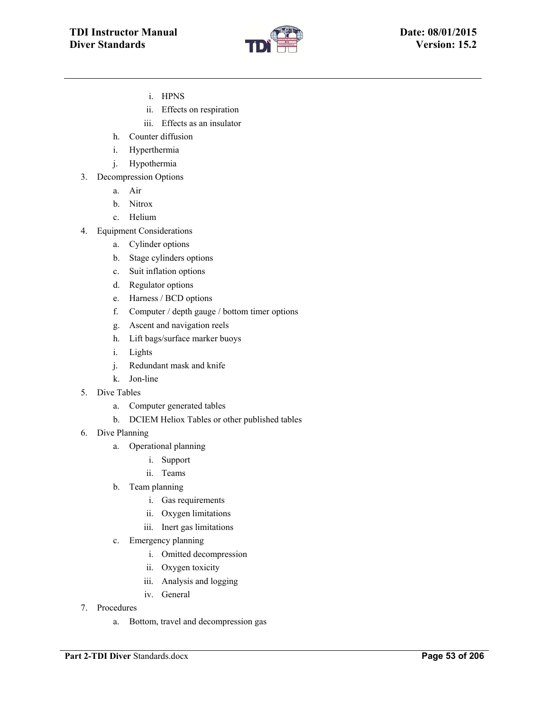

- i. HPNS
- ii. Effects on respiration
- iii. Effects as an insulator
- h. Counter diffusion
- i. Hyperthermia
- j. Hypothermia
- 3. Decompression Options
	- a. Air
	- b. Nitrox
	- c. Helium
- 4. Equipment Considerations
	- a. Cylinder options
	- b. Stage cylinders options
	- c. Suit inflation options
	- d. Regulator options
	- e. Harness / BCD options
	- f. Computer / depth gauge / bottom timer options
	- g. Ascent and navigation reels
	- h. Lift bags/surface marker buoys
	- i. Lights
	- j. Redundant mask and knife
	- k. Jon-line
- 5. Dive Tables
	- a. Computer generated tables
	- b. DCIEM Heliox Tables or other published tables
- 6. Dive Planning
	- a. Operational planning
		- i. Support
		- ii. Teams
	- b. Team planning
		- i. Gas requirements
		- ii. Oxygen limitations
		- iii. Inert gas limitations
	- c. Emergency planning
		- i. Omitted decompression
		- ii. Oxygen toxicity
		- iii. Analysis and logging
		- iv. General
- 7. Procedures
	- a. Bottom, travel and decompression gas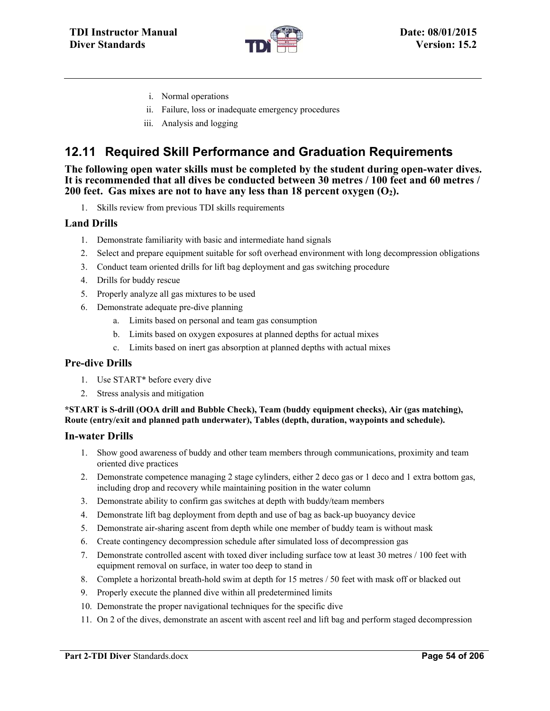

- i. Normal operations
- ii. Failure, loss or inadequate emergency procedures
- iii. Analysis and logging

# **12.11 Required Skill Performance and Graduation Requirements**

**The following open water skills must be completed by the student during open-water dives. It is recommended that all dives be conducted between 30 metres / 100 feet and 60 metres / 200 feet.** Gas mixes are not to have any less than 18 percent oxygen  $(O_2)$ .

1. Skills review from previous TDI skills requirements

#### **Land Drills**

- 1. Demonstrate familiarity with basic and intermediate hand signals
- 2. Select and prepare equipment suitable for soft overhead environment with long decompression obligations
- 3. Conduct team oriented drills for lift bag deployment and gas switching procedure
- 4. Drills for buddy rescue
- 5. Properly analyze all gas mixtures to be used
- 6. Demonstrate adequate pre-dive planning
	- a. Limits based on personal and team gas consumption
	- b. Limits based on oxygen exposures at planned depths for actual mixes
	- c. Limits based on inert gas absorption at planned depths with actual mixes

#### **Pre-dive Drills**

- 1. Use START\* before every dive
- 2. Stress analysis and mitigation

#### **\*START is S-drill (OOA drill and Bubble Check), Team (buddy equipment checks), Air (gas matching), Route (entry/exit and planned path underwater), Tables (depth, duration, waypoints and schedule).**

#### **In-water Drills**

- 1. Show good awareness of buddy and other team members through communications, proximity and team oriented dive practices
- 2. Demonstrate competence managing 2 stage cylinders, either 2 deco gas or 1 deco and 1 extra bottom gas, including drop and recovery while maintaining position in the water column
- 3. Demonstrate ability to confirm gas switches at depth with buddy/team members
- 4. Demonstrate lift bag deployment from depth and use of bag as back-up buoyancy device
- 5. Demonstrate air-sharing ascent from depth while one member of buddy team is without mask
- 6. Create contingency decompression schedule after simulated loss of decompression gas
- 7. Demonstrate controlled ascent with toxed diver including surface tow at least 30 metres / 100 feet with equipment removal on surface, in water too deep to stand in
- 8. Complete a horizontal breath-hold swim at depth for 15 metres / 50 feet with mask off or blacked out
- 9. Properly execute the planned dive within all predetermined limits
- 10. Demonstrate the proper navigational techniques for the specific dive
- 11. On 2 of the dives, demonstrate an ascent with ascent reel and lift bag and perform staged decompression